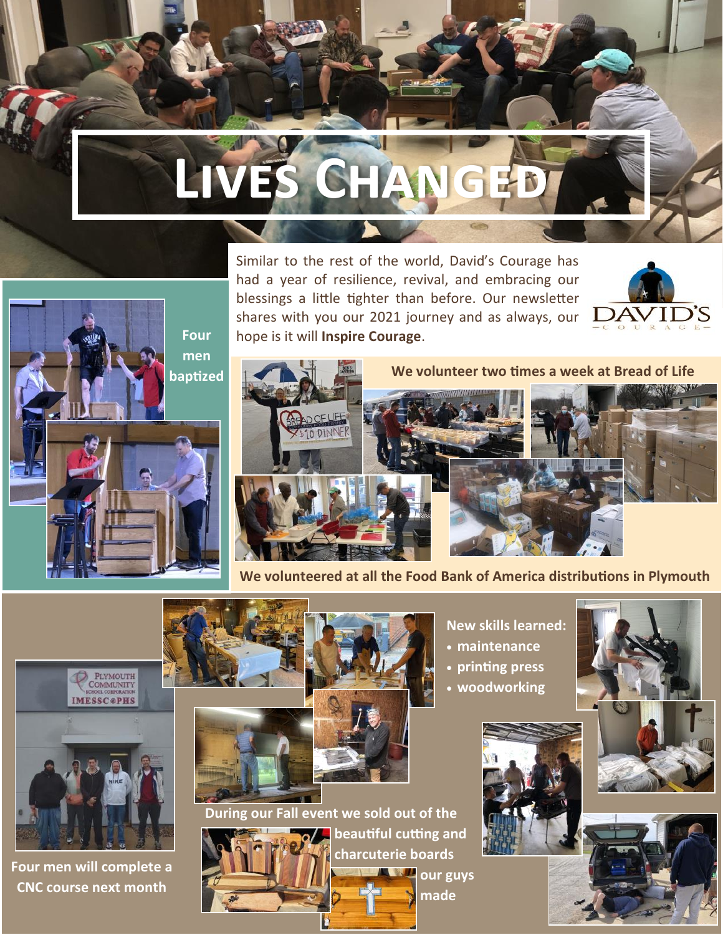## **Lives Changed**







**We volunteered at all the Food Bank of America distributions in Plymouth**



**Four men will complete a CNC course next month**



**Four men baptized**

**During our Fall event we sold out of the** 



**beautiful cutting and charcuterie boards**  ┻ **our guys** 

**made**